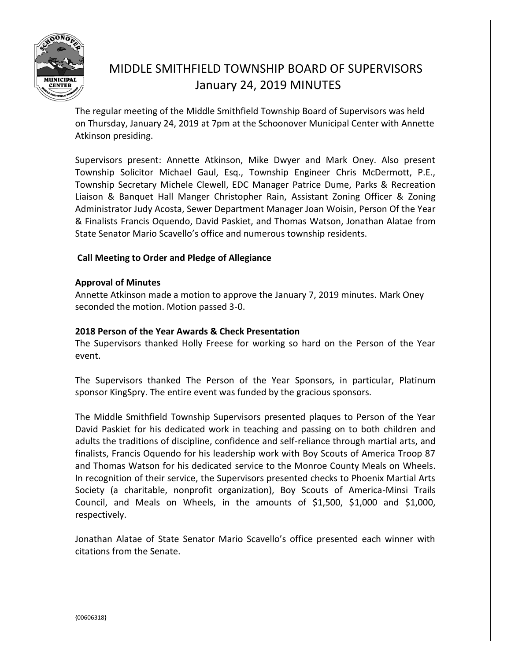

# MIDDLE SMITHFIELD TOWNSHIP BOARD OF SUPERVISORS January 24, 2019 MINUTES

The regular meeting of the Middle Smithfield Township Board of Supervisors was held on Thursday, January 24, 2019 at 7pm at the Schoonover Municipal Center with Annette Atkinson presiding.

Supervisors present: Annette Atkinson, Mike Dwyer and Mark Oney. Also present Township Solicitor Michael Gaul, Esq., Township Engineer Chris McDermott, P.E., Township Secretary Michele Clewell, EDC Manager Patrice Dume, Parks & Recreation Liaison & Banquet Hall Manger Christopher Rain, Assistant Zoning Officer & Zoning Administrator Judy Acosta, Sewer Department Manager Joan Woisin, Person Of the Year & Finalists Francis Oquendo, David Paskiet, and Thomas Watson, Jonathan Alatae from State Senator Mario Scavello's office and numerous township residents.

## **Call Meeting to Order and Pledge of Allegiance**

## **Approval of Minutes**

Annette Atkinson made a motion to approve the January 7, 2019 minutes. Mark Oney seconded the motion. Motion passed 3-0.

## **2018 Person of the Year Awards & Check Presentation**

The Supervisors thanked Holly Freese for working so hard on the Person of the Year event.

The Supervisors thanked The Person of the Year Sponsors, in particular, Platinum sponsor KingSpry. The entire event was funded by the gracious sponsors.

The Middle Smithfield Township Supervisors presented plaques to Person of the Year David Paskiet for his dedicated work in teaching and passing on to both children and adults the traditions of discipline, confidence and self-reliance through martial arts, and finalists, Francis Oquendo for his leadership work with Boy Scouts of America Troop 87 and Thomas Watson for his dedicated service to the Monroe County Meals on Wheels. In recognition of their service, the Supervisors presented checks to Phoenix Martial Arts Society (a charitable, nonprofit organization), Boy Scouts of America-Minsi Trails Council, and Meals on Wheels, in the amounts of \$1,500, \$1,000 and \$1,000, respectively.

Jonathan Alatae of State Senator Mario Scavello's office presented each winner with citations from the Senate.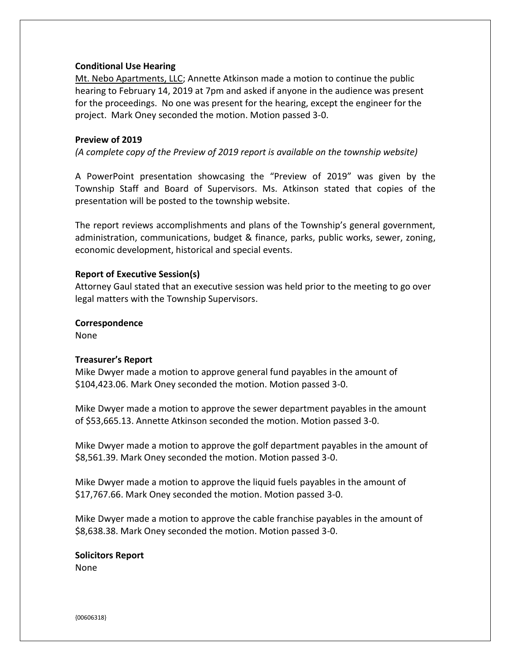#### **Conditional Use Hearing**

Mt. Nebo Apartments, LLC; Annette Atkinson made a motion to continue the public hearing to February 14, 2019 at 7pm and asked if anyone in the audience was present for the proceedings. No one was present for the hearing, except the engineer for the project. Mark Oney seconded the motion. Motion passed 3-0.

#### **Preview of 2019**

*(A complete copy of the Preview of 2019 report is available on the township website)* 

A PowerPoint presentation showcasing the "Preview of 2019" was given by the Township Staff and Board of Supervisors. Ms. Atkinson stated that copies of the presentation will be posted to the township website.

The report reviews accomplishments and plans of the Township's general government, administration, communications, budget & finance, parks, public works, sewer, zoning, economic development, historical and special events.

#### **Report of Executive Session(s)**

Attorney Gaul stated that an executive session was held prior to the meeting to go over legal matters with the Township Supervisors.

**Correspondence** 

None

#### **Treasurer's Report**

Mike Dwyer made a motion to approve general fund payables in the amount of \$104,423.06. Mark Oney seconded the motion. Motion passed 3-0.

Mike Dwyer made a motion to approve the sewer department payables in the amount of \$53,665.13. Annette Atkinson seconded the motion. Motion passed 3-0.

Mike Dwyer made a motion to approve the golf department payables in the amount of \$8,561.39. Mark Oney seconded the motion. Motion passed 3-0.

Mike Dwyer made a motion to approve the liquid fuels payables in the amount of \$17,767.66. Mark Oney seconded the motion. Motion passed 3-0.

Mike Dwyer made a motion to approve the cable franchise payables in the amount of \$8,638.38. Mark Oney seconded the motion. Motion passed 3-0.

**Solicitors Report** None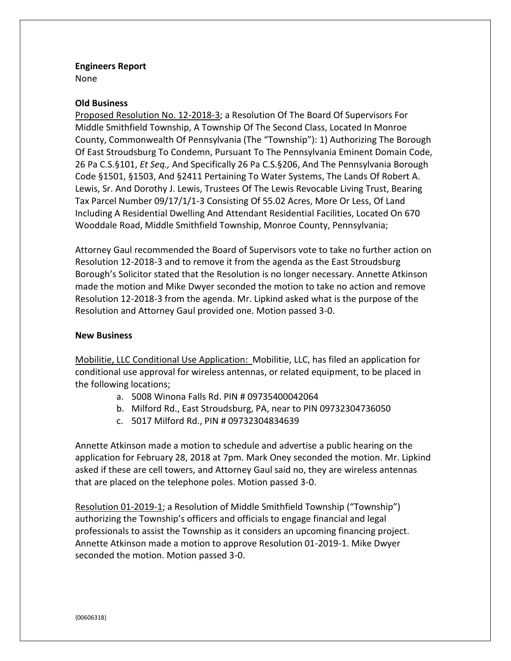## **Engineers Report**

None

## **Old Business**

Proposed Resolution No. 12-2018-3; a Resolution Of The Board Of Supervisors For Middle Smithfield Township, A Township Of The Second Class, Located In Monroe County, Commonwealth Of Pennsylvania (The "Township"): 1) Authorizing The Borough Of East Stroudsburg To Condemn, Pursuant To The Pennsylvania Eminent Domain Code, 26 Pa C.S.§101, *Et Seq.,* And Specifically 26 Pa C.S.§206, And The Pennsylvania Borough Code §1501, §1503, And §2411 Pertaining To Water Systems, The Lands Of Robert A. Lewis, Sr. And Dorothy J. Lewis, Trustees Of The Lewis Revocable Living Trust, Bearing Tax Parcel Number 09/17/1/1-3 Consisting Of 55.02 Acres, More Or Less, Of Land Including A Residential Dwelling And Attendant Residential Facilities, Located On 670 Wooddale Road, Middle Smithfield Township, Monroe County, Pennsylvania;

Attorney Gaul recommended the Board of Supervisors vote to take no further action on Resolution 12-2018-3 and to remove it from the agenda as the East Stroudsburg Borough's Solicitor stated that the Resolution is no longer necessary. Annette Atkinson made the motion and Mike Dwyer seconded the motion to take no action and remove Resolution 12-2018-3 from the agenda. Mr. Lipkind asked what is the purpose of the Resolution and Attorney Gaul provided one. Motion passed 3-0.

## **New Business**

Mobilitie, LLC Conditional Use Application: Mobilitie, LLC, has filed an application for conditional use approval for wireless antennas, or related equipment, to be placed in the following locations;

- a. 5008 Winona Falls Rd. PIN # 09735400042064
- b. Milford Rd., East Stroudsburg, PA, near to PIN 09732304736050
- c. 5017 Milford Rd., PIN # 09732304834639

Annette Atkinson made a motion to schedule and advertise a public hearing on the application for February 28, 2018 at 7pm. Mark Oney seconded the motion. Mr. Lipkind asked if these are cell towers, and Attorney Gaul said no, they are wireless antennas that are placed on the telephone poles. Motion passed 3-0.

Resolution 01-2019-1; a Resolution of Middle Smithfield Township ("Township") authorizing the Township's officers and officials to engage financial and legal professionals to assist the Township as it considers an upcoming financing project. Annette Atkinson made a motion to approve Resolution 01-2019-1. Mike Dwyer seconded the motion. Motion passed 3-0.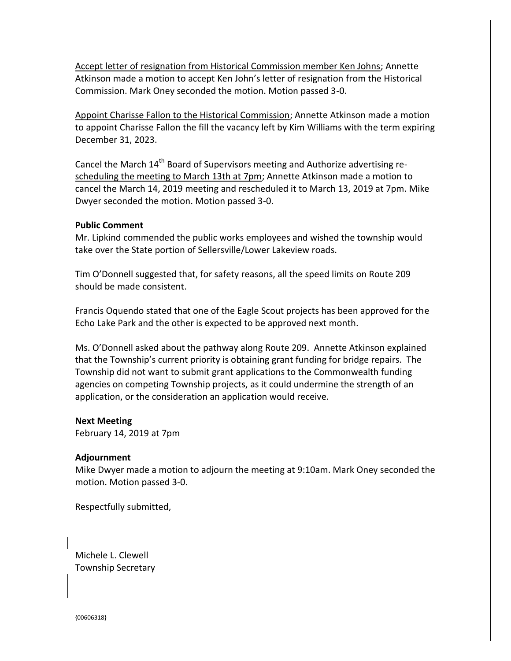Accept letter of resignation from Historical Commission member Ken Johns; Annette Atkinson made a motion to accept Ken John's letter of resignation from the Historical Commission. Mark Oney seconded the motion. Motion passed 3-0.

Appoint Charisse Fallon to the Historical Commission; Annette Atkinson made a motion to appoint Charisse Fallon the fill the vacancy left by Kim Williams with the term expiring December 31, 2023.

Cancel the March  $14<sup>th</sup>$  Board of Supervisors meeting and Authorize advertising rescheduling the meeting to March 13th at 7pm; Annette Atkinson made a motion to cancel the March 14, 2019 meeting and rescheduled it to March 13, 2019 at 7pm. Mike Dwyer seconded the motion. Motion passed 3-0.

#### **Public Comment**

Mr. Lipkind commended the public works employees and wished the township would take over the State portion of Sellersville/Lower Lakeview roads.

Tim O'Donnell suggested that, for safety reasons, all the speed limits on Route 209 should be made consistent.

Francis Oquendo stated that one of the Eagle Scout projects has been approved for the Echo Lake Park and the other is expected to be approved next month.

Ms. O'Donnell asked about the pathway along Route 209. Annette Atkinson explained that the Township's current priority is obtaining grant funding for bridge repairs. The Township did not want to submit grant applications to the Commonwealth funding agencies on competing Township projects, as it could undermine the strength of an application, or the consideration an application would receive.

#### **Next Meeting**

February 14, 2019 at 7pm

#### **Adjournment**

Mike Dwyer made a motion to adjourn the meeting at 9:10am. Mark Oney seconded the motion. Motion passed 3-0.

Respectfully submitted,

Michele L. Clewell Township Secretary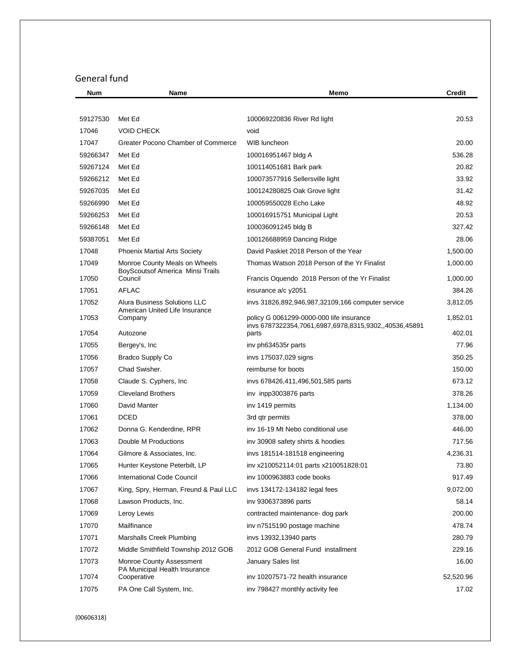# General fund

| <b>Num</b> | Name                                                                     | Memo                                                           | <b>Credit</b> |
|------------|--------------------------------------------------------------------------|----------------------------------------------------------------|---------------|
|            |                                                                          |                                                                |               |
| 59127530   | Met Ed                                                                   | 100069220836 River Rd light                                    | 20.53         |
| 17046      | <b>VOID CHECK</b>                                                        | void                                                           |               |
| 17047      | Greater Pocono Chamber of Commerce                                       | WIB luncheon                                                   | 20.00         |
| 59266347   | Met Ed                                                                   | 100016951467 bldg A                                            | 536.28        |
| 59267124   | Met Ed                                                                   | 100114051681 Bark park                                         | 20.82         |
| 59266212   | Met Ed                                                                   | 100073577916 Sellersville light                                | 33.92         |
| 59267035   | Met Ed                                                                   | 100124280825 Oak Grove light                                   | 31.42         |
| 59266990   | Met Ed                                                                   | 100059550028 Echo Lake                                         | 48.92         |
| 59266253   | Met Ed                                                                   | 100016915751 Municipal Light                                   | 20.53         |
| 59266148   | Met Ed                                                                   | 100036091245 bldg B                                            | 327.42        |
| 59387051   | Met Ed                                                                   | 100126688959 Dancing Ridge                                     | 28.06         |
| 17048      | <b>Phoenix Martial Arts Society</b>                                      | David Paskiet 2018 Person of the Year                          | 1,500.00      |
| 17049      | Monroe County Meals on Wheels<br><b>BoyScoutsof America Minsi Trails</b> | Thomas Watson 2018 Person of the Yr Finalist                   | 1,000.00      |
| 17050      | Council                                                                  | Francis Oquendo 2018 Person of the Yr Finalist                 | 1,000.00      |
| 17051      | <b>AFLAC</b>                                                             | insurance a/c y2051                                            | 384.26        |
| 17052      | Alura Business Solutions LLC                                             | invs 31826,892,946,987,32109,166 computer service              | 3,812.05      |
| 17053      | American United Life Insurance<br>Company                                | policy G 0061299-0000-000 life insurance                       | 1,852.01      |
| 17054      | Autozone                                                                 | invs 6787322354,7061,6987,6978,8315,9302,,40536,45891<br>parts | 402.01        |
| 17055      | Bergey's, Inc                                                            | inv ph634535r parts                                            | 77.96         |
| 17056      | Bradco Supply Co                                                         | invs 175037,029 signs                                          | 350.25        |
| 17057      | Chad Swisher.                                                            | reimburse for boots                                            | 150.00        |
| 17058      | Claude S. Cyphers, Inc.                                                  | invs 678426,411,496,501,585 parts                              | 673.12        |
| 17059      | <b>Cleveland Brothers</b>                                                | inv inpp3003876 parts                                          | 378.26        |
| 17060      | David Manter                                                             | inv 1419 permits                                               | 1,134.00      |
| 17061      | <b>DCED</b>                                                              | 3rd qtr permits                                                | 378.00        |
| 17062      | Donna G. Kenderdine, RPR                                                 | inv 16-19 Mt Nebo conditional use                              | 446.00        |
| 17063      | Double M Productions                                                     | inv 30908 safety shirts & hoodies                              | 717.56        |
| 17064      | Gilmore & Associates, Inc.                                               | invs 181514-181518 engineering                                 | 4,236.31      |
| 17065      | Hunter Keystone Peterbilt, LP                                            | inv x210052114:01 parts x210051828:01                          | 73.80         |
| 17066      | <b>International Code Council</b>                                        | inv 1000963883 code books                                      | 917.49        |
| 17067      | King, Spry, Herman, Freund & Paul LLC                                    | invs 134172-134182 legal fees                                  | 9,072.00      |
| 17068      | Lawson Products, Inc.                                                    | inv 9306373896 parts                                           | 58.14         |
| 17069      | Leroy Lewis                                                              | contracted maintenance- dog park                               | 200.00        |
| 17070      | Mailfinance                                                              | inv n7515190 postage machine                                   | 478.74        |
| 17071      | Marshalls Creek Plumbing                                                 | invs 13932,13940 parts                                         | 280.79        |
| 17072      | Middle Smithfield Township 2012 GOB                                      | 2012 GOB General Fund installment                              | 229.16        |
| 17073      | Monroe County Assessment<br>PA Municipal Health Insurance                | January Sales list                                             | 16.00         |
| 17074      | Cooperative                                                              | inv 10207571-72 health insurance                               | 52,520.96     |
| 17075      | PA One Call System, Inc.                                                 | inv 798427 monthly activity fee                                | 17.02         |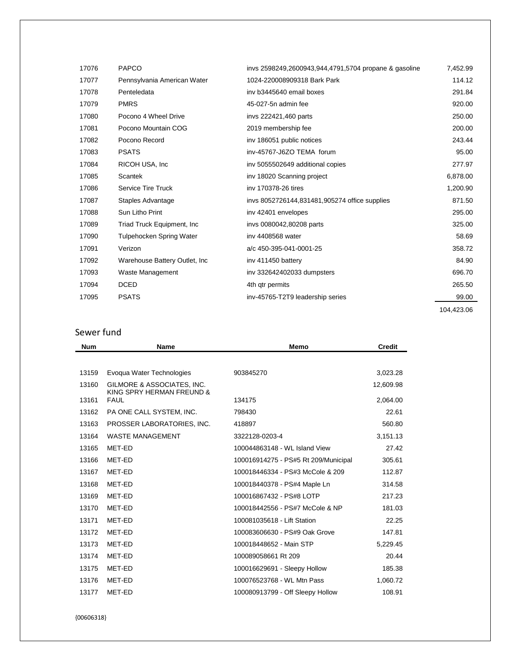|                                 | invs 2598249,2600943,944,4791,5704 propane & gasoline | 7,452.99   |
|---------------------------------|-------------------------------------------------------|------------|
| Pennsylvania American Water     | 1024-220008909318 Bark Park                           | 114.12     |
| Penteledata                     | iny b3445640 email boxes                              | 291.84     |
| <b>PMRS</b>                     | 45-027-5n admin fee                                   | 920.00     |
| Pocono 4 Wheel Drive            | invs 222421,460 parts                                 | 250.00     |
| Pocono Mountain COG             | 2019 membership fee                                   | 200.00     |
| Pocono Record                   | inv 186051 public notices                             | 243.44     |
| <b>PSATS</b>                    | inv-45767-J6ZO TEMA forum                             | 95.00      |
| RICOH USA, Inc.                 | inv 5055502649 additional copies                      | 277.97     |
| <b>Scantek</b>                  | inv 18020 Scanning project                            | 6,878.00   |
| <b>Service Tire Truck</b>       | iny 170378-26 tires                                   | 1,200.90   |
| Staples Advantage               | invs 8052726144,831481,905274 office supplies         | 871.50     |
| Sun Litho Print                 | inv 42401 envelopes                                   | 295.00     |
| Triad Truck Equipment, Inc      | invs 0080042,80208 parts                              | 325.00     |
| <b>Tulpehocken Spring Water</b> | iny 4408568 water                                     | 58.69      |
| Verizon                         | a/c 450-395-041-0001-25                               | 358.72     |
| Warehouse Battery Outlet, Inc.  | inv 411450 battery                                    | 84.90      |
| Waste Management                | inv 332642402033 dumpsters                            | 696.70     |
| <b>DCED</b>                     | 4th qtr permits                                       | 265.50     |
| <b>PSATS</b>                    | inv-45765-T2T9 leadership series                      | 99.00      |
|                                 |                                                       | 104,423.06 |
|                                 |                                                       |            |

# Sewer fund

| <b>Num</b> | <b>Name</b>                                             | <b>Memo</b>                          | <b>Credit</b> |
|------------|---------------------------------------------------------|--------------------------------------|---------------|
|            |                                                         |                                      |               |
| 13159      | Evoqua Water Technologies                               | 903845270                            | 3,023.28      |
| 13160      | GILMORE & ASSOCIATES, INC.<br>KING SPRY HERMAN FREUND & |                                      | 12,609.98     |
| 13161      | <b>FAUL</b>                                             | 134175                               | 2,064.00      |
| 13162      | PA ONE CALL SYSTEM, INC.                                | 798430                               | 22.61         |
| 13163      | PROSSER LABORATORIES, INC.                              | 418897                               | 560.80        |
| 13164      | <b>WASTE MANAGEMENT</b>                                 | 3322128-0203-4                       | 3,151.13      |
| 13165      | MET-ED                                                  | 100044863148 - WL Island View        | 27.42         |
| 13166      | MET-ED                                                  | 100016914275 - PS#5 Rt 209/Municipal | 305.61        |
| 13167      | MET-ED                                                  | 100018446334 - PS#3 McCole & 209     | 112.87        |
| 13168      | MET-ED                                                  | 100018440378 - PS#4 Maple Ln         | 314.58        |
| 13169      | MET-ED                                                  | 100016867432 - PS#8 LOTP             | 217.23        |
| 13170      | MET-ED                                                  | 100018442556 - PS#7 McCole & NP      | 181.03        |
| 13171      | MET-ED                                                  | 100081035618 - Lift Station          | 22.25         |
| 13172      | MET-ED                                                  | 100083606630 - PS#9 Oak Grove        | 147.81        |
| 13173      | MET-ED                                                  | 100018448652 - Main STP              | 5,229.45      |
| 13174      | MET-ED                                                  | 100089058661 Rt 209                  | 20.44         |
| 13175      | MET-ED                                                  | 100016629691 - Sleepy Hollow         | 185.38        |
| 13176      | MET-ED                                                  | 100076523768 - WL Mtn Pass           | 1,060.72      |
| 13177      | MET-ED                                                  | 100080913799 - Off Sleepy Hollow     | 108.91        |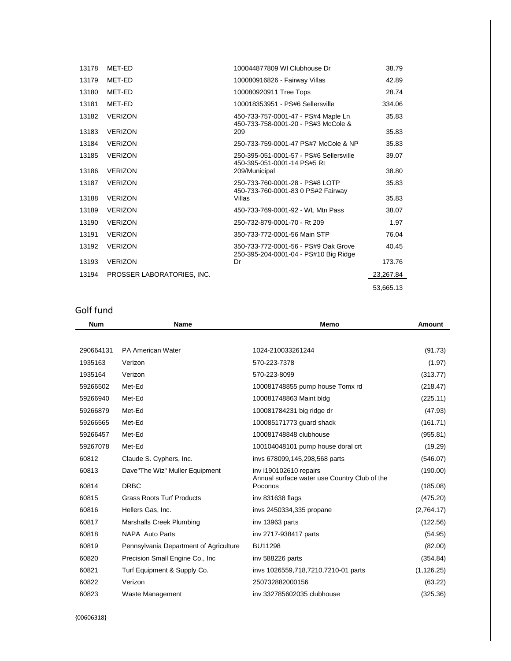| 13178 | MET-ED                     | 100044877809 WI Clubhouse Dr                                                  | 38.79     |
|-------|----------------------------|-------------------------------------------------------------------------------|-----------|
| 13179 | MET-ED                     | 100080916826 - Fairway Villas                                                 | 42.89     |
| 13180 | MET-ED                     | 100080920911 Tree Tops                                                        | 28.74     |
| 13181 | MET-ED                     | 100018353951 - PS#6 Sellersville                                              | 334.06    |
| 13182 | <b>VERIZON</b>             | 450-733-757-0001-47 - PS#4 Maple Ln<br>450-733-758-0001-20 - PS#3 McCole &    | 35.83     |
| 13183 | <b>VERIZON</b>             | 209                                                                           | 35.83     |
| 13184 | <b>VERIZON</b>             | 250-733-759-0001-47 PS#7 McCole & NP                                          | 35.83     |
| 13185 | <b>VERIZON</b>             | 250-395-051-0001-57 - PS#6 Sellersville<br>450-395-051-0001-14 PS#5 Rt        | 39.07     |
| 13186 | <b>VERIZON</b>             | 209/Municipal                                                                 | 38.80     |
| 13187 | <b>VERIZON</b>             | 250-733-760-0001-28 - PS#8 LOTP<br>450-733-760-0001-83 0 PS#2 Fairway         | 35.83     |
| 13188 | <b>VERIZON</b>             | Villas                                                                        | 35.83     |
| 13189 | <b>VERIZON</b>             | 450-733-769-0001-92 - WL Mtn Pass                                             | 38.07     |
| 13190 | <b>VERIZON</b>             | 250-732-879-0001-70 - Rt 209                                                  | 1.97      |
| 13191 | <b>VERIZON</b>             | 350-733-772-0001-56 Main STP                                                  | 76.04     |
| 13192 | <b>VERIZON</b>             | 350-733-772-0001-56 - PS#9 Oak Grove<br>250-395-204-0001-04 - PS#10 Big Ridge | 40.45     |
| 13193 | <b>VERIZON</b>             | Dr                                                                            | 173.76    |
| 13194 | PROSSER LABORATORIES. INC. |                                                                               | 23,267.84 |
|       |                            |                                                                               | 53,665.13 |

# Golf fund

| <b>Num</b> | Name                                   | <b>Memo</b>                                                            | <b>Amount</b> |
|------------|----------------------------------------|------------------------------------------------------------------------|---------------|
|            |                                        |                                                                        |               |
| 290664131  | <b>PA American Water</b>               | 1024-210033261244                                                      | (91.73)       |
| 1935163    | Verizon                                | 570-223-7378                                                           | (1.97)        |
| 1935164    | Verizon                                | 570-223-8099                                                           | (313.77)      |
| 59266502   | Met-Ed                                 | 100081748855 pump house Tomx rd                                        | (218.47)      |
| 59266940   | Met-Ed                                 | 100081748863 Maint bldg                                                | (225.11)      |
| 59266879   | Met-Ed                                 | 100081784231 big ridge dr                                              | (47.93)       |
| 59266565   | Met-Ed                                 | 100085171773 quard shack                                               | (161.71)      |
| 59266457   | Met-Ed                                 | 100081748848 clubhouse                                                 | (955.81)      |
| 59267078   | Met-Ed                                 | 100104048101 pump house doral crt                                      | (19.29)       |
| 60812      | Claude S. Cyphers, Inc.                | invs 678099,145,298,568 parts                                          | (546.07)      |
| 60813      | Dave"The Wiz" Muller Equipment         | inv i190102610 repairs<br>Annual surface water use Country Club of the | (190.00)      |
| 60814      | <b>DRBC</b>                            | Poconos                                                                | (185.08)      |
| 60815      | <b>Grass Roots Turf Products</b>       | inv 831638 flags                                                       | (475.20)      |
| 60816      | Hellers Gas, Inc.                      | invs 2450334,335 propane                                               | (2,764.17)    |
| 60817      | Marshalls Creek Plumbing               | inv 13963 parts                                                        | (122.56)      |
| 60818      | NAPA Auto Parts                        | inv 2717-938417 parts                                                  | (54.95)       |
| 60819      | Pennsylvania Department of Agriculture | <b>BU11298</b>                                                         | (82.00)       |
| 60820      | Precision Small Engine Co., Inc.       | inv 588226 parts                                                       | (354.84)      |
| 60821      | Turf Equipment & Supply Co.            | invs 1026559,718,7210,7210-01 parts                                    | (1, 126.25)   |
| 60822      | Verizon                                | 250732882000156                                                        | (63.22)       |
| 60823      | Waste Management                       | iny 332785602035 clubhouse                                             | (325.36)      |